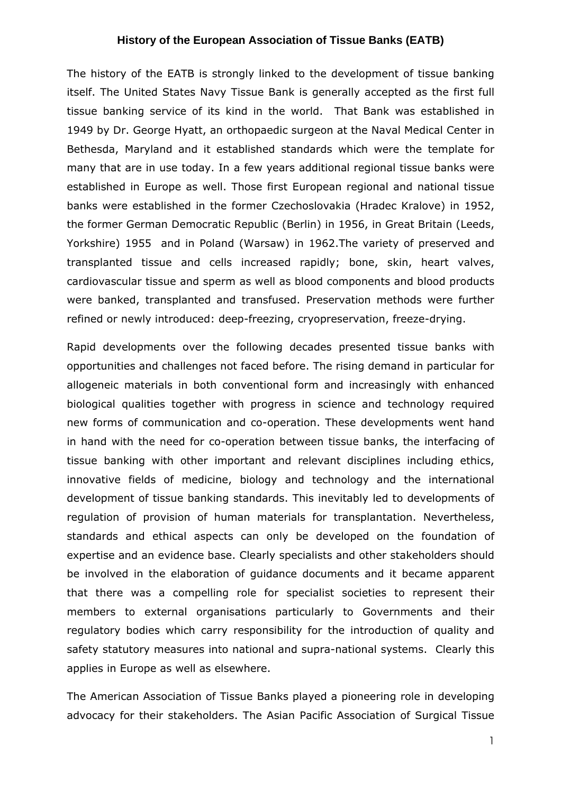The history of the EATB is strongly linked to the development of tissue banking itself. The United States Navy Tissue Bank is generally accepted as the first full tissue banking service of its kind in the world. That Bank was established in 1949 by Dr. George Hyatt, an orthopaedic surgeon at the Naval Medical Center in Bethesda, Maryland and it established standards which were the template for many that are in use today. In a few years additional regional tissue banks were established in Europe as well. Those first European regional and national tissue banks were established in the former Czechoslovakia (Hradec Kralove) in 1952, the former German Democratic Republic (Berlin) in 1956, in Great Britain (Leeds, Yorkshire) 1955 and in Poland (Warsaw) in 1962.The variety of preserved and transplanted tissue and cells increased rapidly; bone, skin, heart valves, cardiovascular tissue and sperm as well as blood components and blood products were banked, transplanted and transfused. Preservation methods were further refined or newly introduced: deep-freezing, cryopreservation, freeze-drying.

Rapid developments over the following decades presented tissue banks with opportunities and challenges not faced before. The rising demand in particular for allogeneic materials in both conventional form and increasingly with enhanced biological qualities together with progress in science and technology required new forms of communication and co-operation. These developments went hand in hand with the need for co-operation between tissue banks, the interfacing of tissue banking with other important and relevant disciplines including ethics, innovative fields of medicine, biology and technology and the international development of tissue banking standards. This inevitably led to developments of regulation of provision of human materials for transplantation. Nevertheless, standards and ethical aspects can only be developed on the foundation of expertise and an evidence base. Clearly specialists and other stakeholders should be involved in the elaboration of guidance documents and it became apparent that there was a compelling role for specialist societies to represent their members to external organisations particularly to Governments and their regulatory bodies which carry responsibility for the introduction of quality and safety statutory measures into national and supra-national systems. Clearly this applies in Europe as well as elsewhere.

The American Association of Tissue Banks played a pioneering role in developing advocacy for their stakeholders. The Asian Pacific Association of Surgical Tissue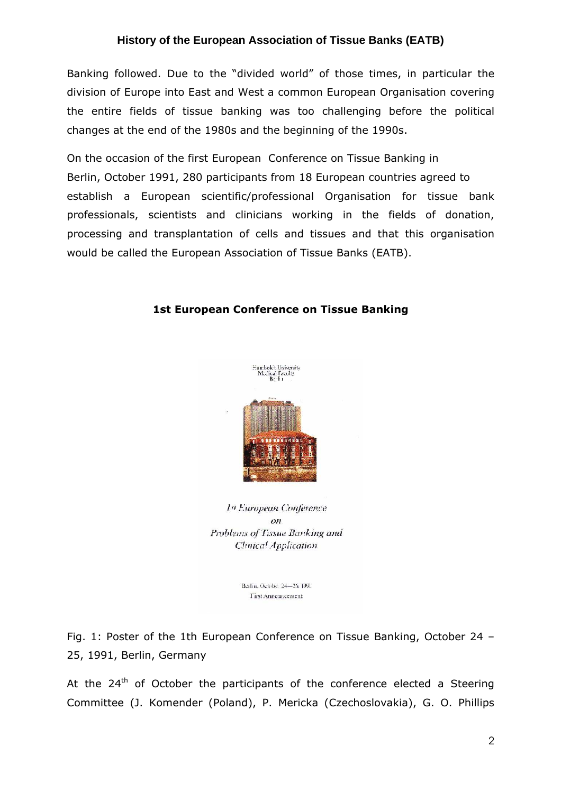Banking followed. Due to the "divided world" of those times, in particular the division of Europe into East and West a common European Organisation covering the entire fields of tissue banking was too challenging before the political changes at the end of the 1980s and the beginning of the 1990s.

On the occasion of the first European Conference on Tissue Banking in Berlin, October 1991, 280 participants from 18 European countries agreed to establish a European scientific/professional Organisation for tissue bank professionals, scientists and clinicians working in the fields of donation, processing and transplantation of cells and tissues and that this organisation would be called the European Association of Tissue Banks (EATB).

# 1st European Conference on Tissue Banking



1st European Conference  $_{OD}$ Problems of Tissue Banking and Clinical Application

Berlin, Octobe. 24-25, 1991 **Tirst Announcement** 

Fig. 1: Poster of the 1th European Conference on Tissue Banking, October 24 – 25, 1991, Berlin, Germany

At the  $24<sup>th</sup>$  of October the participants of the conference elected a Steering Committee (J. Komender (Poland), P. Mericka (Czechoslovakia), G. O. Phillips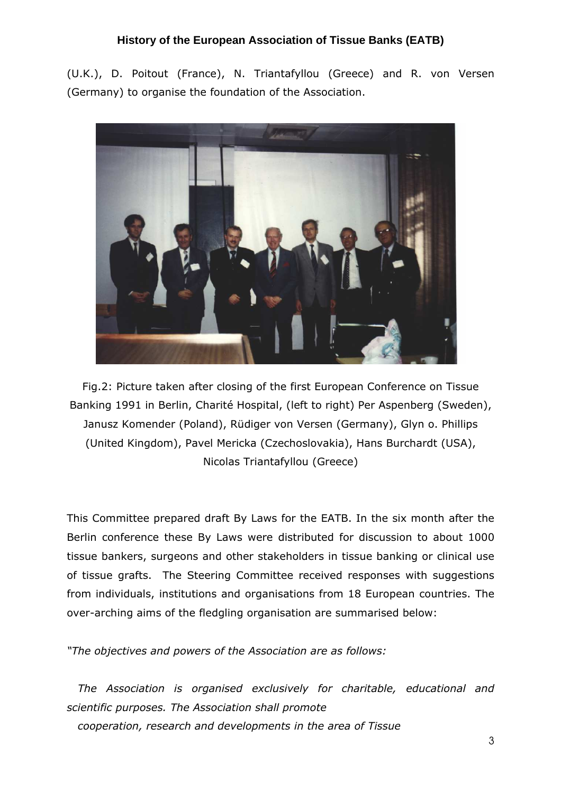(U.K.), D. Poitout (France), N. Triantafyllou (Greece) and R. von Versen (Germany) to organise the foundation of the Association.



Fig.2: Picture taken after closing of the first European Conference on Tissue Banking 1991 in Berlin, Charité Hospital, (left to right) Per Aspenberg (Sweden), Janusz Komender (Poland), Rüdiger von Versen (Germany), Glyn o. Phillips (United Kingdom), Pavel Mericka (Czechoslovakia), Hans Burchardt (USA), Nicolas Triantafyllou (Greece)

This Committee prepared draft By Laws for the EATB. In the six month after the Berlin conference these By Laws were distributed for discussion to about 1000 tissue bankers, surgeons and other stakeholders in tissue banking or clinical use of tissue grafts. The Steering Committee received responses with suggestions from individuals, institutions and organisations from 18 European countries. The over-arching aims of the fledgling organisation are summarised below:

"The objectives and powers of the Association are as follows:

 The Association is organised exclusively for charitable, educational and scientific purposes. The Association shall promote cooperation, research and developments in the area of Tissue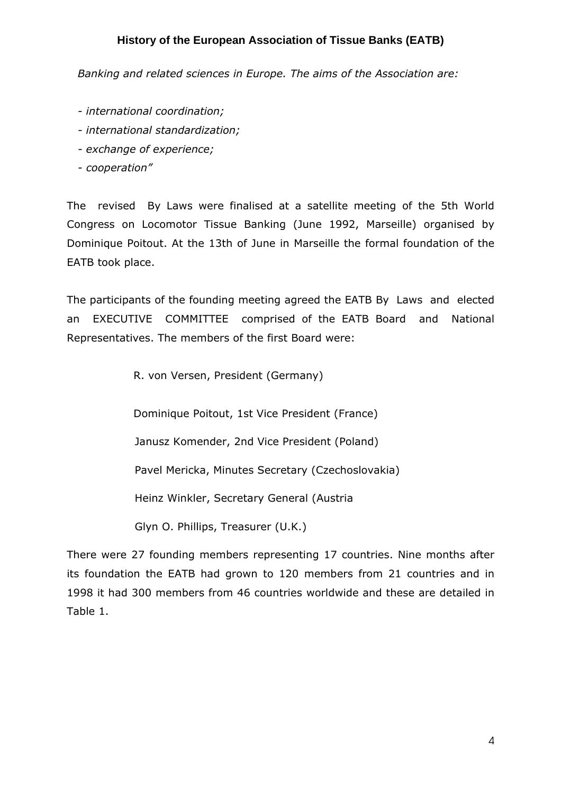Banking and related sciences in Europe. The aims of the Association are:

- international coordination;
- international standardization;
- exchange of experience;
- cooperation"

The revised By Laws were finalised at a satellite meeting of the 5th World Congress on Locomotor Tissue Banking (June 1992, Marseille) organised by Dominique Poitout. At the 13th of June in Marseille the formal foundation of the EATB took place.

The participants of the founding meeting agreed the EATB By Laws and elected an EXECUTIVE COMMITTEE comprised of the EATB Board and National Representatives. The members of the first Board were:

R. von Versen, President (Germany)

Dominique Poitout, 1st Vice President (France)

Janusz Komender, 2nd Vice President (Poland)

Pavel Mericka, Minutes Secretary (Czechoslovakia)

Heinz Winkler, Secretary General (Austria

Glyn O. Phillips, Treasurer (U.K.)

There were 27 founding members representing 17 countries. Nine months after its foundation the EATB had grown to 120 members from 21 countries and in 1998 it had 300 members from 46 countries worldwide and these are detailed in Table 1.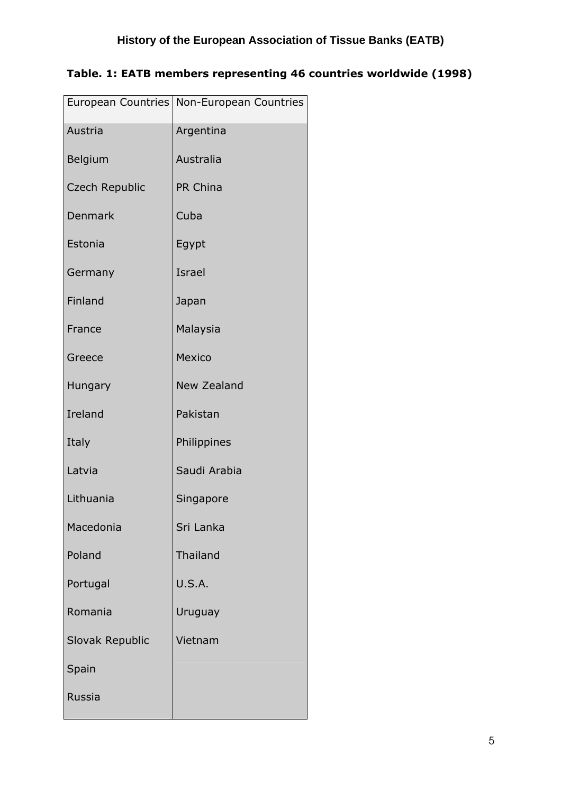|                       | European Countries   Non-European Countries |
|-----------------------|---------------------------------------------|
| Austria               | Argentina                                   |
| Belgium               | Australia                                   |
| <b>Czech Republic</b> | PR China                                    |
| Denmark               | Cuba                                        |
| Estonia               | Egypt                                       |
| Germany               | Israel                                      |
| Finland               | Japan                                       |
| France                | Malaysia                                    |
| Greece                | <b>Mexico</b>                               |
| Hungary               | <b>New Zealand</b>                          |
| Ireland               | Pakistan                                    |
| Italy                 | Philippines                                 |
| Latvia                | Saudi Arabia                                |
| Lithuania             | Singapore                                   |
| Macedonia             | Sri Lanka                                   |
| Poland                | <b>Thailand</b>                             |
| Portugal              | <b>U.S.A.</b>                               |
| Romania               | Uruguay                                     |
| Slovak Republic       | Vietnam                                     |
| Spain                 |                                             |
| Russia                |                                             |
|                       |                                             |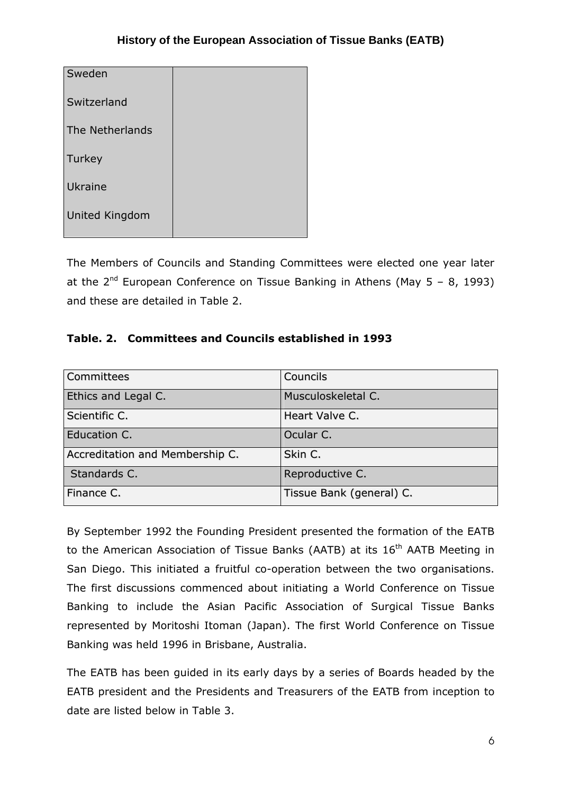| Sweden                |  |
|-----------------------|--|
| Switzerland           |  |
| The Netherlands       |  |
| Turkey                |  |
| Ukraine               |  |
| <b>United Kingdom</b> |  |

The Members of Councils and Standing Committees were elected one year later at the  $2^{nd}$  European Conference on Tissue Banking in Athens (May 5 – 8, 1993) and these are detailed in Table 2.

## Table. 2. Committees and Councils established in 1993

| Committees                      | Councils                 |
|---------------------------------|--------------------------|
| Ethics and Legal C.             | Musculoskeletal C.       |
| Scientific C.                   | Heart Valve C.           |
| Education C.                    | Ocular C.                |
| Accreditation and Membership C. | Skin C.                  |
| Standards C.                    | Reproductive C.          |
| Finance C.                      | Tissue Bank (general) C. |

By September 1992 the Founding President presented the formation of the EATB to the American Association of Tissue Banks (AATB) at its 16<sup>th</sup> AATB Meeting in San Diego. This initiated a fruitful co-operation between the two organisations. The first discussions commenced about initiating a World Conference on Tissue Banking to include the Asian Pacific Association of Surgical Tissue Banks represented by Moritoshi Itoman (Japan). The first World Conference on Tissue Banking was held 1996 in Brisbane, Australia.

The EATB has been guided in its early days by a series of Boards headed by the EATB president and the Presidents and Treasurers of the EATB from inception to date are listed below in Table 3.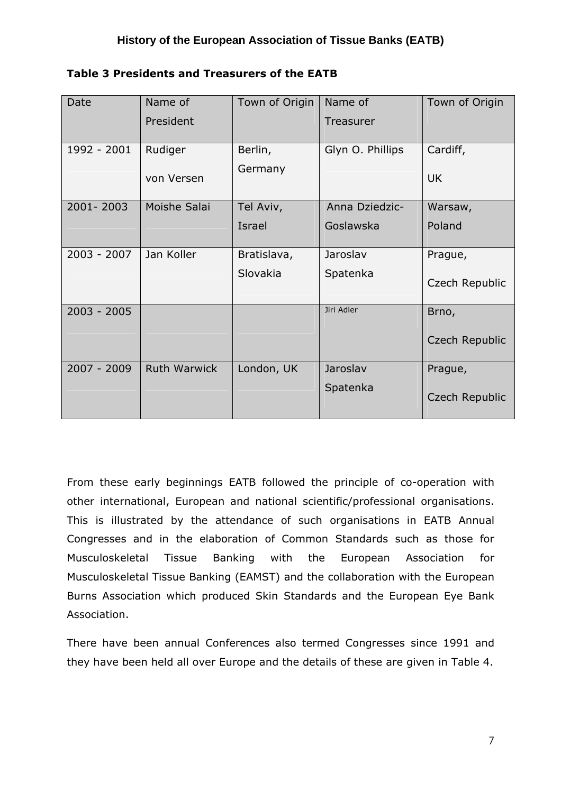| Table 3 Presidents and Treasurers of the EATB |  |  |
|-----------------------------------------------|--|--|
|                                               |  |  |

| Date          | Name of             | Town of Origin | Name of          | Town of Origin |
|---------------|---------------------|----------------|------------------|----------------|
|               | President           |                | Treasurer        |                |
| 1992 - 2001   | Rudiger             | Berlin,        | Glyn O. Phillips | Cardiff,       |
|               |                     |                |                  |                |
|               | von Versen          | Germany        |                  | <b>UK</b>      |
| 2001-2003     | Moishe Salai        | Tel Aviv,      | Anna Dziedzic-   | Warsaw,        |
|               |                     | Israel         | Goslawska        | Poland         |
| $2003 - 2007$ | Jan Koller          | Bratislava,    | Jaroslav         | Prague,        |
|               |                     | Slovakia       | Spatenka         | Czech Republic |
| $2003 - 2005$ |                     |                | Jiri Adler       | Brno,          |
|               |                     |                |                  | Czech Republic |
| 2007 - 2009   | <b>Ruth Warwick</b> | London, UK     | Jaroslav         | Prague,        |
|               |                     |                | Spatenka         | Czech Republic |

From these early beginnings EATB followed the principle of co-operation with other international, European and national scientific/professional organisations. This is illustrated by the attendance of such organisations in EATB Annual Congresses and in the elaboration of Common Standards such as those for Musculoskeletal Tissue Banking with the European Association for Musculoskeletal Tissue Banking (EAMST) and the collaboration with the European Burns Association which produced Skin Standards and the European Eye Bank Association.

There have been annual Conferences also termed Congresses since 1991 and they have been held all over Europe and the details of these are given in Table 4.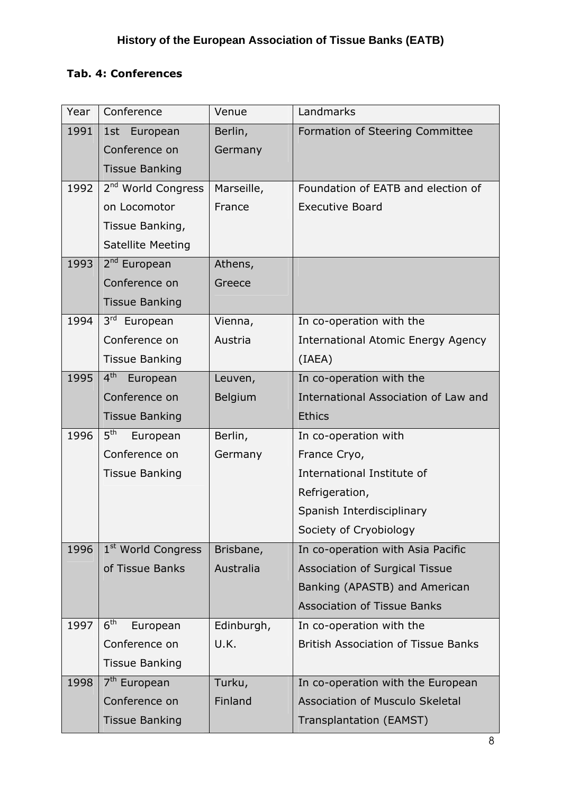## Tab. 4: Conferences

| Year | Conference                     | Venue      | Landmarks                                  |
|------|--------------------------------|------------|--------------------------------------------|
| 1991 | 1st European                   | Berlin,    | Formation of Steering Committee            |
|      | Conference on                  | Germany    |                                            |
|      | <b>Tissue Banking</b>          |            |                                            |
| 1992 | 2 <sup>nd</sup> World Congress | Marseille, | Foundation of EATB and election of         |
|      | on Locomotor                   | France     | <b>Executive Board</b>                     |
|      | Tissue Banking,                |            |                                            |
|      | <b>Satellite Meeting</b>       |            |                                            |
| 1993 | 2 <sup>nd</sup> European       | Athens,    |                                            |
|      | Conference on                  | Greece     |                                            |
|      | <b>Tissue Banking</b>          |            |                                            |
| 1994 | 3rd European                   | Vienna,    | In co-operation with the                   |
|      | Conference on                  | Austria    | <b>International Atomic Energy Agency</b>  |
|      | <b>Tissue Banking</b>          |            | (IAEA)                                     |
| 1995 | 4 <sup>th</sup><br>European    | Leuven,    | In co-operation with the                   |
|      | Conference on                  | Belgium    | International Association of Law and       |
|      | <b>Tissue Banking</b>          |            | <b>Ethics</b>                              |
| 1996 | 5 <sup>th</sup><br>European    | Berlin,    | In co-operation with                       |
|      | Conference on                  | Germany    | France Cryo,                               |
|      | <b>Tissue Banking</b>          |            | International Institute of                 |
|      |                                |            | Refrigeration,                             |
|      |                                |            | Spanish Interdisciplinary                  |
|      |                                |            | Society of Cryobiology                     |
| 1996 | 1 <sup>st</sup> World Congress | Brisbane,  | In co-operation with Asia Pacific          |
|      | of Tissue Banks                | Australia  | <b>Association of Surgical Tissue</b>      |
|      |                                |            | Banking (APASTB) and American              |
|      |                                |            | <b>Association of Tissue Banks</b>         |
| 1997 | 6 <sup>th</sup><br>European    | Edinburgh, | In co-operation with the                   |
|      | Conference on                  | U.K.       | <b>British Association of Tissue Banks</b> |
|      | <b>Tissue Banking</b>          |            |                                            |
| 1998 | 7 <sup>th</sup> European       | Turku,     | In co-operation with the European          |
|      | Conference on                  | Finland    | Association of Musculo Skeletal            |
|      | <b>Tissue Banking</b>          |            | Transplantation (EAMST)                    |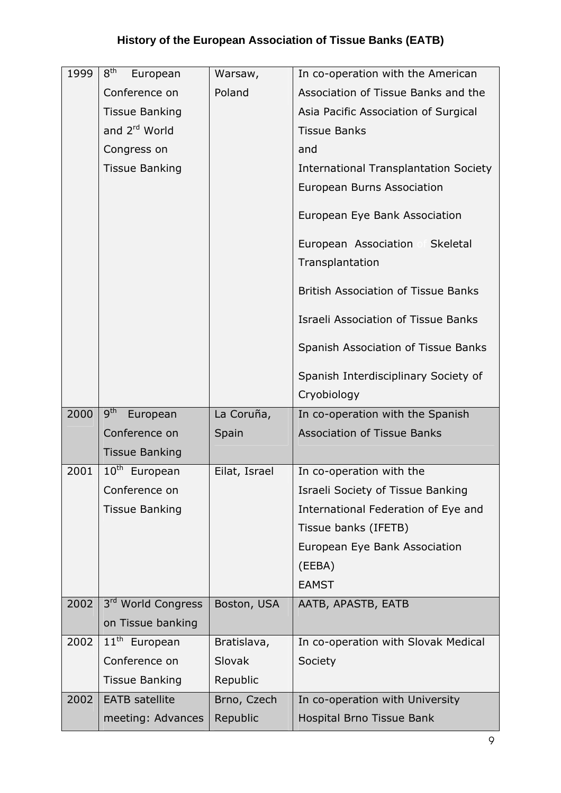| 1999 | 8 <sup>th</sup><br>European  | Warsaw,       | In co-operation with the American            |  |
|------|------------------------------|---------------|----------------------------------------------|--|
|      | Conference on                | Poland        | Association of Tissue Banks and the          |  |
|      | <b>Tissue Banking</b>        |               | Asia Pacific Association of Surgical         |  |
|      | and 2 <sup>rd</sup> World    |               | <b>Tissue Banks</b>                          |  |
|      | Congress on                  |               | and                                          |  |
|      | <b>Tissue Banking</b>        |               | <b>International Transplantation Society</b> |  |
|      |                              |               | European Burns Association                   |  |
|      |                              |               | European Eye Bank Association                |  |
|      |                              |               | European Association<br>Skeletal             |  |
|      |                              |               | Transplantation                              |  |
|      |                              |               | <b>British Association of Tissue Banks</b>   |  |
|      |                              |               | <b>Israeli Association of Tissue Banks</b>   |  |
|      |                              |               | Spanish Association of Tissue Banks          |  |
|      |                              |               | Spanish Interdisciplinary Society of         |  |
|      |                              |               | Cryobiology                                  |  |
|      |                              |               |                                              |  |
| 2000 | 9 <sup>th</sup><br>European  | La Coruña,    | In co-operation with the Spanish             |  |
|      | Conference on                | Spain         | <b>Association of Tissue Banks</b>           |  |
|      | <b>Tissue Banking</b>        |               |                                              |  |
| 2001 | $10^{\text{th}}$<br>European | Eilat, Israel | In co-operation with the                     |  |
|      | Conference on                |               | Israeli Society of Tissue Banking            |  |
|      | <b>Tissue Banking</b>        |               | International Federation of Eye and          |  |
|      |                              |               | Tissue banks (IFETB)                         |  |
|      |                              |               | European Eye Bank Association                |  |
|      |                              |               | (EEBA)                                       |  |
|      |                              |               | <b>EAMST</b>                                 |  |
| 2002 | 3rd World Congress           | Boston, USA   | AATB, APASTB, EATB                           |  |
|      | on Tissue banking            |               |                                              |  |
| 2002 | $11th$ European              | Bratislava,   | In co-operation with Slovak Medical          |  |
|      | Conference on                | <b>Slovak</b> | Society                                      |  |
|      | <b>Tissue Banking</b>        | Republic      |                                              |  |
| 2002 | <b>EATB</b> satellite        | Brno, Czech   | In co-operation with University              |  |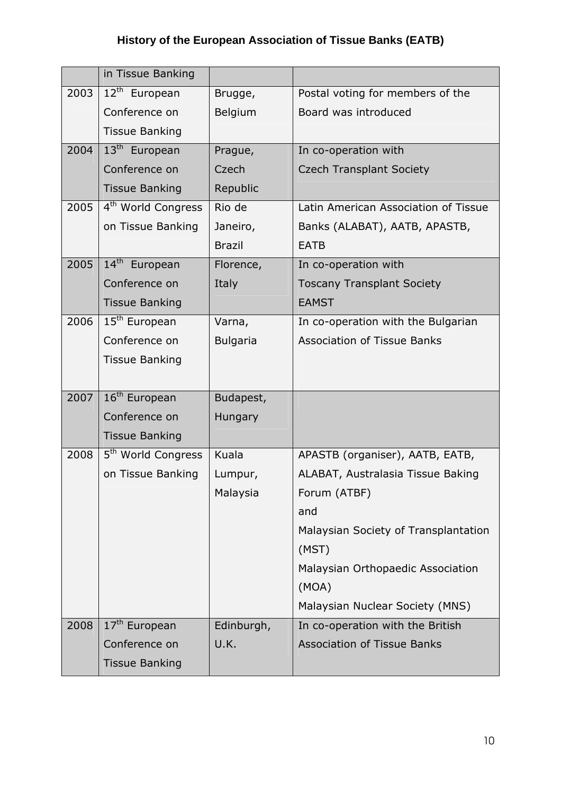|      | in Tissue Banking              |                 |                                      |
|------|--------------------------------|-----------------|--------------------------------------|
| 2003 | 12 <sup>th</sup> European      | Brugge,         | Postal voting for members of the     |
|      | Conference on                  | Belgium         | Board was introduced                 |
|      | <b>Tissue Banking</b>          |                 |                                      |
| 2004 | 13 <sup>th</sup> European      | Prague,         | In co-operation with                 |
|      | Conference on                  | Czech           | <b>Czech Transplant Society</b>      |
|      | <b>Tissue Banking</b>          | Republic        |                                      |
| 2005 | 4 <sup>th</sup> World Congress | Rio de          | Latin American Association of Tissue |
|      | on Tissue Banking              | Janeiro,        | Banks (ALABAT), AATB, APASTB,        |
|      |                                | <b>Brazil</b>   | <b>EATB</b>                          |
| 2005 | 14 <sup>th</sup> European      | Florence,       | In co-operation with                 |
|      | Conference on                  | Italy           | <b>Toscany Transplant Society</b>    |
|      | <b>Tissue Banking</b>          |                 | <b>EAMST</b>                         |
| 2006 | 15 <sup>th</sup> European      | Varna,          | In co-operation with the Bulgarian   |
|      | Conference on                  | <b>Bulgaria</b> | <b>Association of Tissue Banks</b>   |
|      | <b>Tissue Banking</b>          |                 |                                      |
|      |                                |                 |                                      |
| 2007 | 16 <sup>th</sup> European      | Budapest,       |                                      |
|      | Conference on                  | Hungary         |                                      |
|      | <b>Tissue Banking</b>          |                 |                                      |
| 2008 | 5 <sup>th</sup> World Congress | Kuala           | APASTB (organiser), AATB, EATB,      |
|      | on Tissue Banking              | Lumpur,         | ALABAT, Australasia Tissue Baking    |
|      |                                | Malaysia        | Forum (ATBF)                         |
|      |                                |                 | and                                  |
|      |                                |                 | Malaysian Society of Transplantation |
|      |                                |                 | (MST)                                |
|      |                                |                 | Malaysian Orthopaedic Association    |
|      |                                |                 | (MOA)                                |
|      |                                |                 | Malaysian Nuclear Society (MNS)      |
| 2008 | 17 <sup>th</sup> European      | Edinburgh,      | In co-operation with the British     |
|      | Conference on                  | U.K.            | <b>Association of Tissue Banks</b>   |
|      | <b>Tissue Banking</b>          |                 |                                      |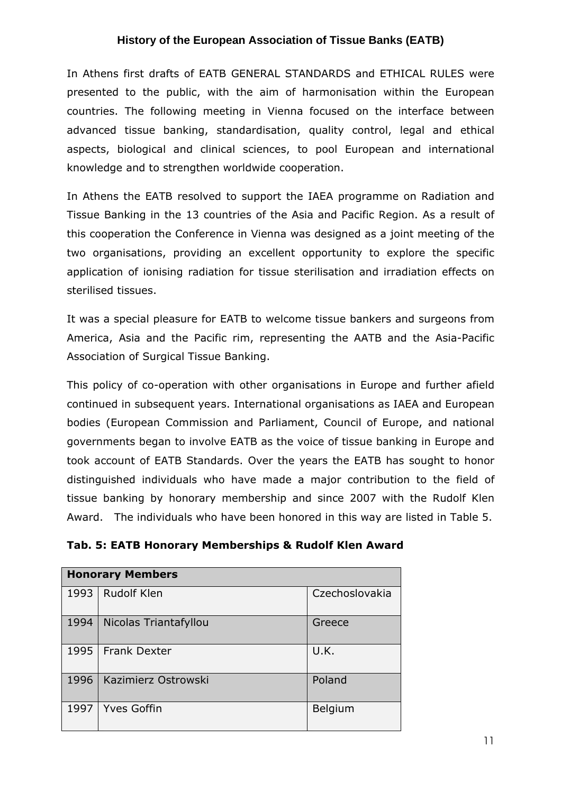In Athens first drafts of EATB GENERAL STANDARDS and ETHICAL RULES were presented to the public, with the aim of harmonisation within the European countries. The following meeting in Vienna focused on the interface between advanced tissue banking, standardisation, quality control, legal and ethical aspects, biological and clinical sciences, to pool European and international knowledge and to strengthen worldwide cooperation.

In Athens the EATB resolved to support the IAEA programme on Radiation and Tissue Banking in the 13 countries of the Asia and Pacific Region. As a result of this cooperation the Conference in Vienna was designed as a joint meeting of the two organisations, providing an excellent opportunity to explore the specific application of ionising radiation for tissue sterilisation and irradiation effects on sterilised tissues.

It was a special pleasure for EATB to welcome tissue bankers and surgeons from America, Asia and the Pacific rim, representing the AATB and the Asia-Pacific Association of Surgical Tissue Banking.

This policy of co-operation with other organisations in Europe and further afield continued in subsequent years. International organisations as IAEA and European bodies (European Commission and Parliament, Council of Europe, and national governments began to involve EATB as the voice of tissue banking in Europe and took account of EATB Standards. Over the years the EATB has sought to honor distinguished individuals who have made a major contribution to the field of tissue banking by honorary membership and since 2007 with the Rudolf Klen Award. The individuals who have been honored in this way are listed in Table 5.

| Tab. 5: EATB Honorary Memberships & Rudolf Klen Award |  |  |  |  |
|-------------------------------------------------------|--|--|--|--|
|-------------------------------------------------------|--|--|--|--|

| <b>Honorary Members</b> |                       |                |  |
|-------------------------|-----------------------|----------------|--|
| 1993                    | <b>Rudolf Klen</b>    | Czechoslovakia |  |
| 1994                    | Nicolas Triantafyllou | Greece         |  |
| 1995                    | <b>Frank Dexter</b>   | U.K.           |  |
| 1996                    | Kazimierz Ostrowski   | Poland         |  |
| 1997                    | <b>Yves Goffin</b>    | Belgium        |  |